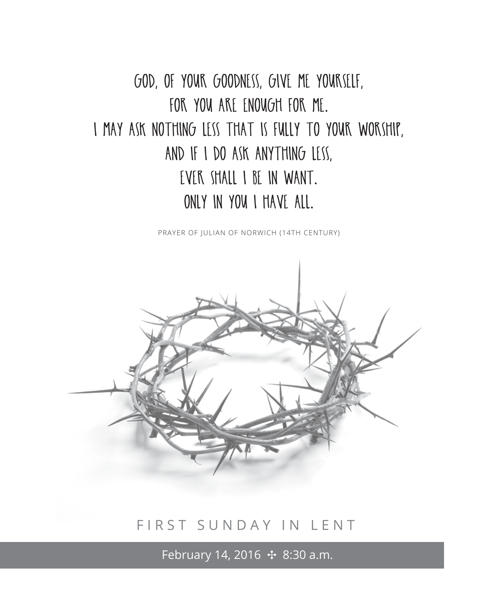God, of your goodness, give me yourself, for you are enough for me. I may ask nothing less that is fully to your worship, and If I do ask anything less, EVER SHALL I BE IN WANT. Only in you I have all.

PRAYER OF JULIAN OF NORWICH (14TH CENTURY)



# FIRST SUNDAY IN LENT

February 14, 2016 **↔ 8:30 a.m.**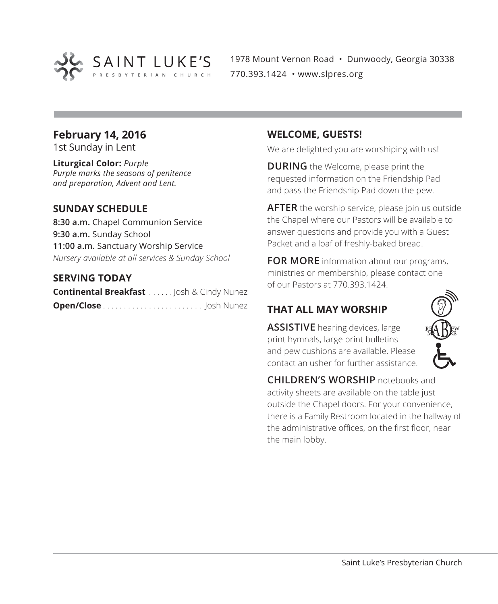

1978 Mount Vernon Road • Dunwoody, Georgia 30338 770.393.1424 • www.slpres.org

# **February 14, 2016**

1st Sunday in Lent

**Liturgical Color:** *Purple Purple marks the seasons of penitence and preparation, Advent and Lent.*

#### **SUNDAY SCHEDULE**

**8:30 a.m.** Chapel Communion Service **9:30 a.m.** Sunday School **11:00 a.m.** Sanctuary Worship Service *Nursery available at all services & Sunday School*

#### **SERVING TODAY**

**Continental Breakfast** . . . . . Josh & Cindy Nunez **Open/Close** . . . . . . . . . . . . . . . . . . . . . . . . Josh Nunez

#### **WELCOME, GUESTS!**

We are delighted you are worshiping with us!

**DURING** the Welcome, please print the requested information on the Friendship Pad and pass the Friendship Pad down the pew.

**AFTER** the worship service, please join us outside the Chapel where our Pastors will be available to answer questions and provide you with a Guest Packet and a loaf of freshly-baked bread.

**FOR MORE** information about our programs, ministries or membership, please contact one of our Pastors at 770.393.1424.

# **THAT ALL MAY WORSHIP**

**ASSISTIVE** hearing devices, large print hymnals, large print bulletins and pew cushions are available. Please contact an usher for further assistance.



**CHILDREN'S WORSHIP** notebooks and activity sheets are available on the table just outside the Chapel doors. For your convenience, there is a Family Restroom located in the hallway of the administrative offices, on the first floor, near the main lobby.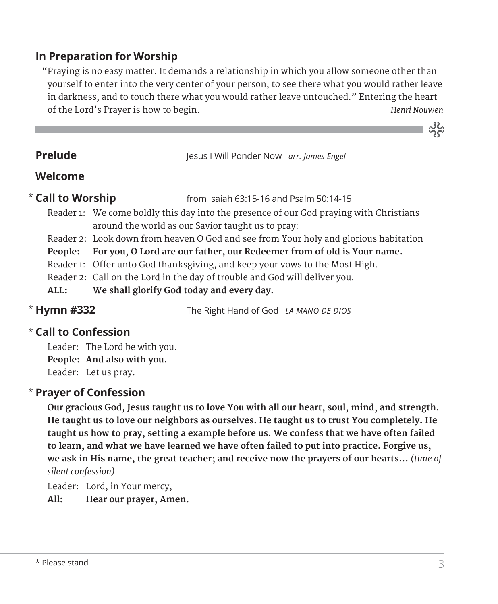# **In Preparation for Worship**

 "Praying is no easy matter. It demands a relationship in which you allow someone other than yourself to enter into the very center of your person, to see there what you would rather leave in darkness, and to touch there what you would rather leave untouched." Entering the heart of the Lord's Prayer is how to begin. *Henri Nouwen* 

**Prelude** Jesus I Will Ponder Now *arr. James Engel* 

# **Welcome**

#### \* Call to Worship

**Call to Worship** from Isaiah 63:15-16 and Psalm 50:14-15

- Reader 1: We come boldly this day into the presence of our God praying with Christians around the world as our Savior taught us to pray:
- Reader 2: Look down from heaven O God and see from Your holy and glorious habitation
- **People: For you, O Lord are our father, our Redeemer from of old is Your name.**
- Reader 1: Offer unto God thanksgiving, and keep your vows to the Most High.
- Reader 2: Call on the Lord in the day of trouble and God will deliver you.
- **ALL: We shall glorify God today and every day.**

\* Hymn #332

**Hymn #332** The Right Hand of God *LA MANO DE DIOS*

# **Call to Confession**  \*

Leader: The Lord be with you. **People: And also with you.** Leader: Let us pray.

# **Prayer of Confession**  \*

 **Our gracious God, Jesus taught us to love You with all our heart, soul, mind, and strength. He taught us to love our neighbors as ourselves. He taught us to trust You completely. He taught us how to pray, setting a example before us. We confess that we have often failed to learn, and what we have learned we have often failed to put into practice. Forgive us, we ask in His name, the great teacher; and receive now the prayers of our hearts...** *(time of silent confession)*

Leader: Lord, in Your mercy,

**All: Hear our prayer, Amen.**

್ನನ್ನು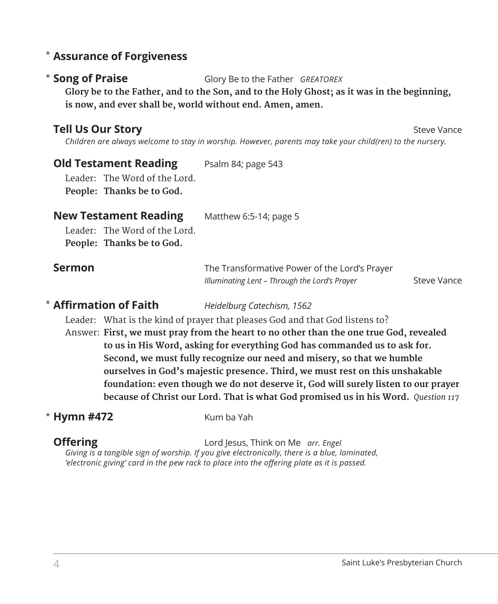# **Assurance of Forgiveness** \*

#### \* Song of Praise

**Song of Praise** Glory Be to the Father *GREATOREX*

 **Glory be to the Father, and to the Son, and to the Holy Ghost; as it was in the beginning, is now, and ever shall be, world without end. Amen, amen.**

# **Tell Us Our Story** Steve Vance Steve Vance Steve Vance Steve Vance Steve Vance Steve Vance Steve Vance Steve Vance

 *Children are always welcome to stay in worship. However, parents may take your child(ren) to the nursery.* 

#### **Old Testament Reading** Psalm 84; page 543

Leader: The Word of the Lord. **People: Thanks be to God.** 

#### **New Testament Reading** Matthew 6:5-14; page 5

Leader: The Word of the Lord. **People: Thanks be to God.**

| <b>Sermon</b> | The Transformative Power of the Lord's Prayer |                    |
|---------------|-----------------------------------------------|--------------------|
|               | Illuminating Lent – Through the Lord's Prayer | <b>Steve Vance</b> |

#### **\* Affirmation of Faith**

**Affirmation of Faith** *Heidelburg Catechism, 1562*

Leader: What is the kind of prayer that pleases God and that God listens to?

Answer: **First, we must pray from the heart to no other than the one true God, revealed to us in His Word, asking for everything God has commanded us to ask for. Second, we must fully recognize our need and misery, so that we humble ourselves in God's majestic presence. Third, we must rest on this unshakable foundation: even though we do not deserve it, God will surely listen to our prayer because of Christ our Lord. That is what God promised us in his Word.** *Question 117* 

# **\* Hymn #472** Kum ba Yah

**Offering** Lord Jesus, Think on Me *arr. Engel Giving is a tangible sign of worship. If you give electronically, there is a blue, laminated, 'electronic giving' card in the pew rack to place into the offering plate as it is passed.*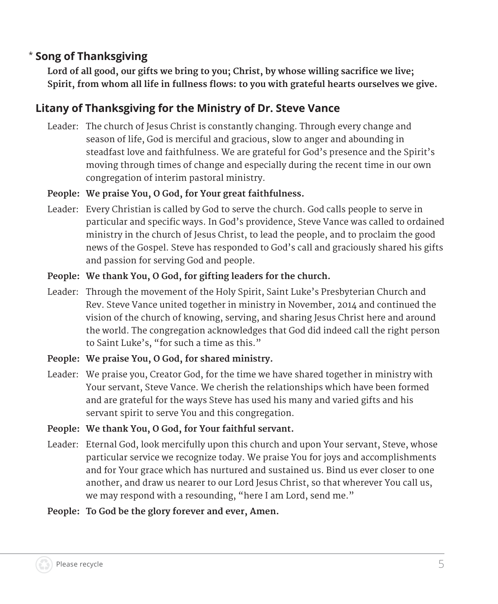#### **Song of Thanksgiving** \*

**Lord of all good, our gifts we bring to you; Christ, by whose willing sacrifice we live; Spirit, from whom all life in fullness flows: to you with grateful hearts ourselves we give.**

# **Litany of Thanksgiving for the Ministry of Dr. Steve Vance**

 Leader: The church of Jesus Christ is constantly changing. Through every change and season of life, God is merciful and gracious, slow to anger and abounding in steadfast love and faithfulness. We are grateful for God's presence and the Spirit's moving through times of change and especially during the recent time in our own congregation of interim pastoral ministry.

### **People: We praise You, O God, for Your great faithfulness.**

 Leader: Every Christian is called by God to serve the church. God calls people to serve in particular and specific ways. In God's providence, Steve Vance was called to ordained ministry in the church of Jesus Christ, to lead the people, and to proclaim the good news of the Gospel. Steve has responded to God's call and graciously shared his gifts and passion for serving God and people.

# **People: We thank You, O God, for gifting leaders for the church.**

- Leader: Through the movement of the Holy Spirit, Saint Luke's Presbyterian Church and Rev. Steve Vance united together in ministry in November, 2014 and continued the vision of the church of knowing, serving, and sharing Jesus Christ here and around the world. The congregation acknowledges that God did indeed call the right person to Saint Luke's, "for such a time as this."
- **People: We praise You, O God, for shared ministry.**
- Leader: We praise you, Creator God, for the time we have shared together in ministry with Your servant, Steve Vance. We cherish the relationships which have been formed and are grateful for the ways Steve has used his many and varied gifts and his servant spirit to serve You and this congregation.

#### **People: We thank You, O God, for Your faithful servant.**

 Leader: Eternal God, look mercifully upon this church and upon Your servant, Steve, whose particular service we recognize today. We praise You for joys and accomplishments and for Your grace which has nurtured and sustained us. Bind us ever closer to one another, and draw us nearer to our Lord Jesus Christ, so that wherever You call us, we may respond with a resounding, "here I am Lord, send me."

#### **People: To God be the glory forever and ever, Amen.**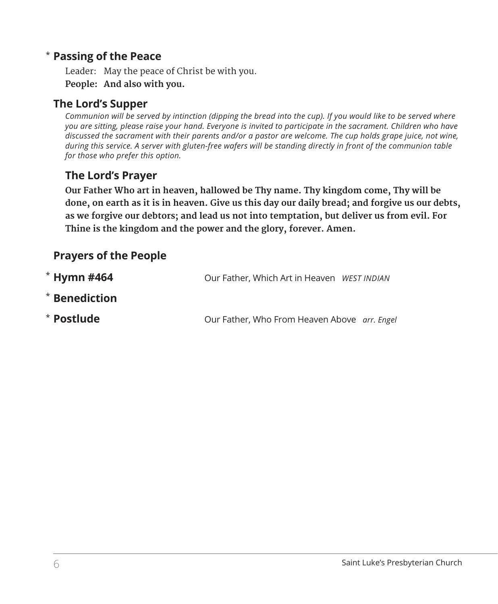# **Passing of the Peace** \*

Leader: May the peace of Christ be with you. **People: And also with you.**

# **The Lord's Supper**

*Communion will be served by intinction (dipping the bread into the cup). If you would like to be served where you are sitting, please raise your hand. Everyone is invited to participate in the sacrament. Children who have discussed the sacrament with their parents and/or a pastor are welcome. The cup holds grape juice, not wine, during this service. A server with gluten-free wafers will be standing directly in front of the communion table for those who prefer this option.*

# **The Lord's Prayer**

 **Our Father Who art in heaven, hallowed be Thy name. Thy kingdom come, Thy will be done, on earth as it is in heaven. Give us this day our daily bread; and forgive us our debts, as we forgive our debtors; and lead us not into temptation, but deliver us from evil. For Thine is the kingdom and the power and the glory, forever. Amen.**

# **Prayers of the People**

| $*$ Hymn #464 | Our Father, Which Art in Heaven WEST INDIAN  |  |
|---------------|----------------------------------------------|--|
| * Benediction |                                              |  |
| * Postlude    | Our Father, Who From Heaven Above arr. Engel |  |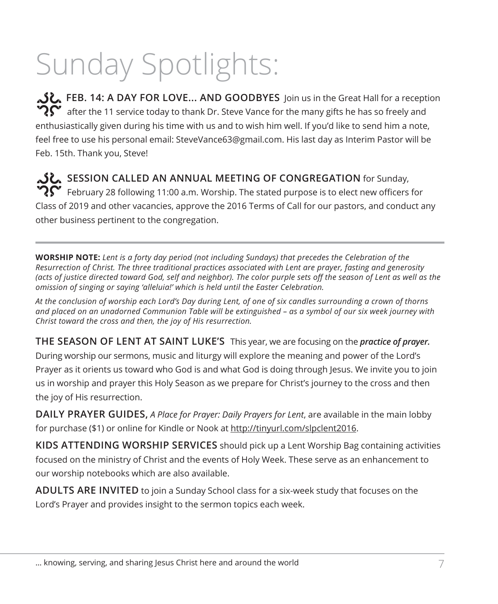# Sunday Spotlights:

**گل**, FEB. 14: A DAY FOR LOVE... AND GOODBYES Join us in the Great Hall for a reception  $\mathbf{P} \mathbf{C}$  after the 11 service today to thank Dr. Steve Vance for the many gifts he has so freely and enthusiastically given during his time with us and to wish him well. If you'd like to send him a note, feel free to use his personal email: SteveVance63@gmail.com. His last day as Interim Pastor will be Feb. 15th. Thank you, Steve!

**SESSION CALLED AN ANNUAL MEETING OF CONGREGATION** for Sunday,  $\mathbf{P} \mathbf{S}$  February 28 following 11:00 a.m. Worship. The stated purpose is to elect new officers for Class of 2019 and other vacancies, approve the 2016 Terms of Call for our pastors, and conduct any other business pertinent to the congregation.

**WORSHIP NOTE:** *Lent is a forty day period (not including Sundays) that precedes the Celebration of the Resurrection of Christ. The three traditional practices associated with Lent are prayer, fasting and generosity (acts of justice directed toward God, self and neighbor). The color purple sets off the season of Lent as well as the omission of singing or saying 'alleluia!' which is held until the Easter Celebration.* 

*At the conclusion of worship each Lord's Day during Lent, of one of six candles surrounding a crown of thorns and placed on an unadorned Communion Table will be extinguished – as a symbol of our six week journey with Christ toward the cross and then, the joy of His resurrection.* 

**THE SEASON OF LENT AT SAINT LUKE'S** This year, we are focusing on the *practice of prayer.* During worship our sermons, music and liturgy will explore the meaning and power of the Lord's Prayer as it orients us toward who God is and what God is doing through Jesus. We invite you to join us in worship and prayer this Holy Season as we prepare for Christ's journey to the cross and then the joy of His resurrection.

**DAILY PRAYER GUIDES,** *A Place for Prayer: Daily Prayers for Lent*, are available in the main lobby for purchase (\$1) or online for Kindle or Nook at http://tinyurl.com/slpclent2016.

**KIDS ATTENDING WORSHIP SERVICES** should pick up a Lent Worship Bag containing activities focused on the ministry of Christ and the events of Holy Week. These serve as an enhancement to our worship notebooks which are also available.

**ADULTS ARE INVITED** to join a Sunday School class for a six-week study that focuses on the Lord's Prayer and provides insight to the sermon topics each week.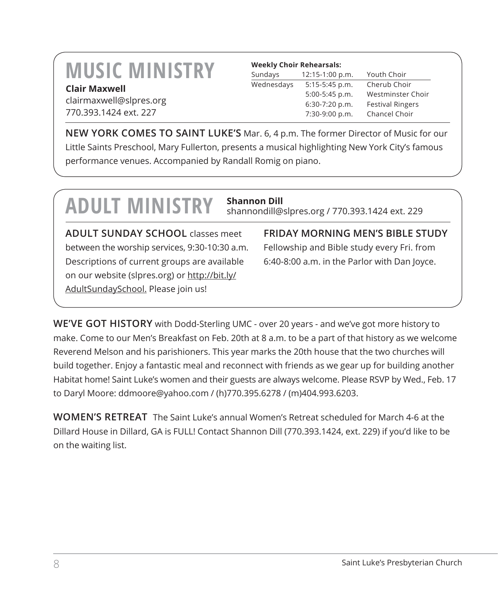# **MUSIC MINISTRY Clair Maxwell**

clairmaxwell@slpres.org 770.393.1424 ext. 227

#### **Weekly Choir Rehearsals:**

| Sundays    | 12:15-1:00 p.m.  | Youth Choir             |
|------------|------------------|-------------------------|
| Wednesdays | $5:15-5:45$ p.m. | Cherub Choir            |
|            | 5:00-5:45 p.m.   | Westminster Choir       |
|            | 6:30-7:20 p.m.   | <b>Festival Ringers</b> |
|            | 7:30-9:00 p.m.   | Chancel Choir           |
|            |                  |                         |

**NEW YORK COMES TO SAINT LUKE'S** Mar. 6, 4 p.m. The former Director of Music for our Little Saints Preschool, Mary Fullerton, presents a musical highlighting New York City's famous performance venues. Accompanied by Randall Romig on piano.

# **ADULT MINISTRY Shannon Dill**

shannondill@slpres.org / 770.393.1424 ext. 229

**ADULT SUNDAY SCHOOL** classes meet between the worship services, 9:30-10:30 a.m. Descriptions of current groups are available on our website (slpres.org) or http://bit.ly/ AdultSundaySchool. Please join us!

**FRIDAY MORNING MEN'S BIBLE STUDY**  Fellowship and Bible study every Fri. from 6:40-8:00 a.m. in the Parlor with Dan Joyce.

**WE'VE GOT HISTORY** with Dodd-Sterling UMC - over 20 years - and we've got more history to make. Come to our Men's Breakfast on Feb. 20th at 8 a.m. to be a part of that history as we welcome Reverend Melson and his parishioners. This year marks the 20th house that the two churches will build together. Enjoy a fantastic meal and reconnect with friends as we gear up for building another Habitat home! Saint Luke's women and their guests are always welcome. Please RSVP by Wed., Feb. 17 to Daryl Moore: ddmoore@yahoo.com / (h)770.395.6278 / (m)404.993.6203.

**WOMEN'S RETREAT** The Saint Luke's annual Women's Retreat scheduled for March 4-6 at the Dillard House in Dillard, GA is FULL! Contact Shannon Dill (770.393.1424, ext. 229) if you'd like to be on the waiting list.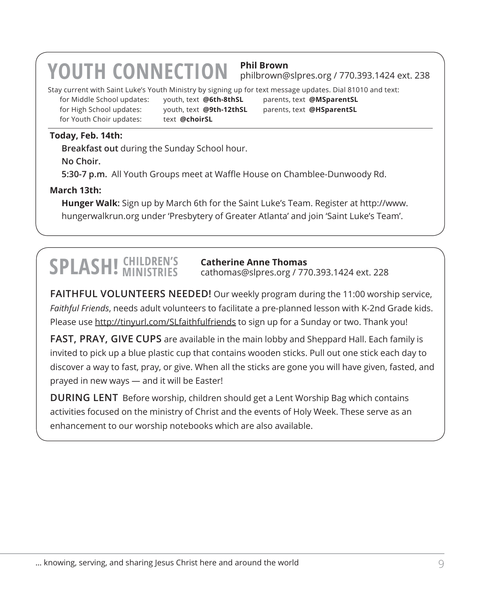# **YOUTH CONNECTION Phil Brown**

philbrown@slpres.org / 770.393.1424 ext. 238

Stay current with Saint Luke's Youth Ministry by signing up for text message updates. Dial 81010 and text:

for High School updates: youth, text **@9th-12thSL** parents, text **@HSparentSL** for Youth Choir updates: text **@choirSL** 

for Middle School updates: youth, text **@6th-8thSL** parents, text **@MSparentSL**

#### **Today, Feb. 14th:**

**Breakfast out** during the Sunday School hour.

**No Choir.**

**5:30-7 p.m.** All Youth Groups meet at Waffle House on Chamblee-Dunwoody Rd.

#### **March 13th:**

 **Hunger Walk:** Sign up by March 6th for the Saint Luke's Team. Register at http://www. hungerwalkrun.org under 'Presbytery of Greater Atlanta' and join 'Saint Luke's Team'.

# **SPLASH!** CHILDREN'S

#### **Catherine Anne Thomas**

cathomas@slpres.org / 770.393.1424 ext. 228

**FAITHFUL VOLUNTEERS NEEDED!** Our weekly program during the 11:00 worship service, *Faithful Friends*, needs adult volunteers to facilitate a pre-planned lesson with K-2nd Grade kids. Please use http://tinyurl.com/SLfaithfulfriends to sign up for a Sunday or two. Thank you!

**FAST, PRAY, GIVE CUPS** are available in the main lobby and Sheppard Hall. Each family is invited to pick up a blue plastic cup that contains wooden sticks. Pull out one stick each day to discover a way to fast, pray, or give. When all the sticks are gone you will have given, fasted, and prayed in new ways — and it will be Easter!

**DURING LENT** Before worship, children should get a Lent Worship Bag which contains activities focused on the ministry of Christ and the events of Holy Week. These serve as an enhancement to our worship notebooks which are also available.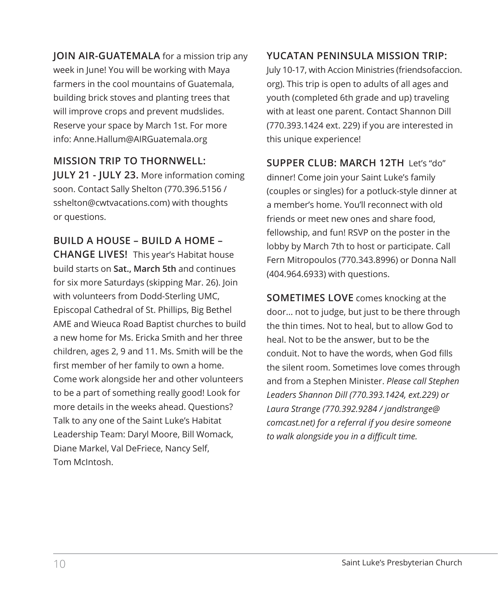**JOIN AIR-GUATEMALA** for a mission trip any week in June! You will be working with Maya farmers in the cool mountains of Guatemala, building brick stoves and planting trees that will improve crops and prevent mudslides. Reserve your space by March 1st. For more info: Anne.Hallum@AIRGuatemala.org

**MISSION TRIP TO THORNWELL: JULY 21 - JULY 23.** More information coming soon. Contact Sally Shelton (770.396.5156 / sshelton@cwtvacations.com) with thoughts or questions.

**BUILD A HOUSE – BUILD A HOME – CHANGE LIVES!** This year's Habitat house build starts on **Sat., March 5th** and continues for six more Saturdays (skipping Mar. 26). Join with volunteers from Dodd-Sterling UMC, Episcopal Cathedral of St. Phillips, Big Bethel AME and Wieuca Road Baptist churches to build a new home for Ms. Ericka Smith and her three children, ages 2, 9 and 11. Ms. Smith will be the first member of her family to own a home. Come work alongside her and other volunteers to be a part of something really good! Look for more details in the weeks ahead. Questions? Talk to any one of the Saint Luke's Habitat Leadership Team: Daryl Moore, Bill Womack, Diane Markel, Val DeFriece, Nancy Self, Tom McIntosh.

#### **YUCATAN PENINSULA MISSION TRIP:**

July 10-17, with Accion Ministries (friendsofaccion. org). This trip is open to adults of all ages and youth (completed 6th grade and up) traveling with at least one parent. Contact Shannon Dill (770.393.1424 ext. 229) if you are interested in this unique experience!

**SUPPER CLUB: MARCH 12TH** Let's "do" dinner! Come join your Saint Luke's family (couples or singles) for a potluck-style dinner at a member's home. You'll reconnect with old friends or meet new ones and share food, fellowship, and fun! RSVP on the poster in the lobby by March 7th to host or participate. Call Fern Mitropoulos (770.343.8996) or Donna Nall (404.964.6933) with questions.

**SOMETIMES LOVE** comes knocking at the door... not to judge, but just to be there through the thin times. Not to heal, but to allow God to heal. Not to be the answer, but to be the conduit. Not to have the words, when God fills the silent room. Sometimes love comes through and from a Stephen Minister. *Please call Stephen Leaders Shannon Dill (770.393.1424, ext.229) or Laura Strange (770.392.9284 / jandlstrange@ comcast.net) for a referral if you desire someone to walk alongside you in a difficult time.*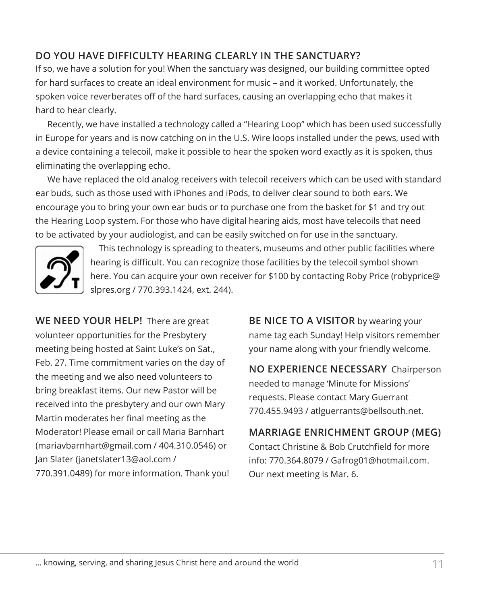### **DO YOU HAVE DIFFICULTY HEARING CLEARLY IN THE SANCTUARY?**

If so, we have a solution for you! When the sanctuary was designed, our building committee opted for hard surfaces to create an ideal environment for music – and it worked. Unfortunately, the spoken voice reverberates off of the hard surfaces, causing an overlapping echo that makes it hard to hear clearly.

Recently, we have installed a technology called a "Hearing Loop" which has been used successfully in Europe for years and is now catching on in the U.S. Wire loops installed under the pews, used with a device containing a telecoil, make it possible to hear the spoken word exactly as it is spoken, thus eliminating the overlapping echo.

We have replaced the old analog receivers with telecoil receivers which can be used with standard ear buds, such as those used with iPhones and iPods, to deliver clear sound to both ears. We encourage you to bring your own ear buds or to purchase one from the basket for \$1 and try out the Hearing Loop system. For those who have digital hearing aids, most have telecoils that need to be activated by your audiologist, and can be easily switched on for use in the sanctuary.



 This technology is spreading to theaters, museums and other public facilities where hearing is difficult. You can recognize those facilities by the telecoil symbol shown here. You can acquire your own receiver for \$100 by contacting Roby Price (robyprice@ slpres.org / 770.393.1424, ext. 244).

**WE NEED YOUR HELP!** There are great volunteer opportunities for the Presbytery meeting being hosted at Saint Luke's on Sat., Feb. 27. Time commitment varies on the day of the meeting and we also need volunteers to bring breakfast items. Our new Pastor will be received into the presbytery and our own Mary Martin moderates her final meeting as the Moderator! Please email or call Maria Barnhart (mariavbarnhart@gmail.com / 404.310.0546) or Jan Slater (janetslater13@aol.com / 770.391.0489) for more information. Thank you!

**BE NICE TO A VISITOR** by wearing your name tag each Sunday! Help visitors remember your name along with your friendly welcome.

**NO EXPERIENCE NECESSARY** Chairperson needed to manage 'Minute for Missions' requests. Please contact Mary Guerrant 770.455.9493 / atlguerrants@bellsouth.net.

**MARRIAGE ENRICHMENT GROUP (MEG)** Contact Christine & Bob Crutchfield for more info: 770.364.8079 / Gafrog01@hotmail.com. Our next meeting is Mar. 6.